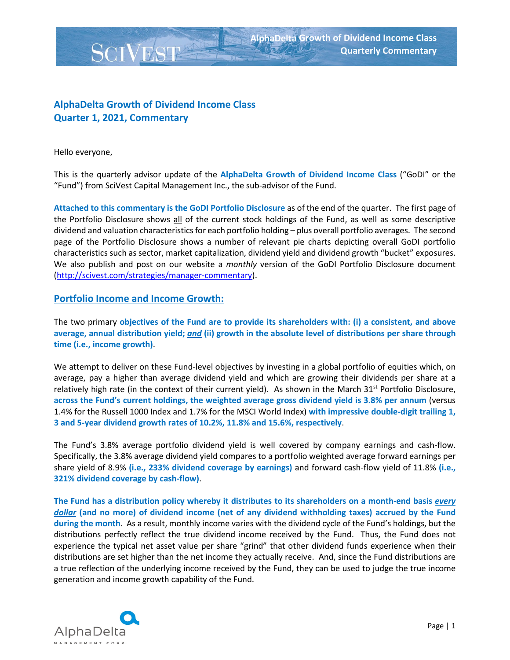

# **AlphaDelta Growth of Dividend Income Class Quarter 1, 2021, Commentary**

Hello everyone,

This is the quarterly advisor update of the **AlphaDelta Growth of Dividend Income Class** ("GoDI" or the "Fund") from SciVest Capital Management Inc., the sub-advisor of the Fund.

**Attached to this commentary is the GoDI Portfolio Disclosure** as of the end of the quarter. The first page of the Portfolio Disclosure shows all of the current stock holdings of the Fund, as well as some descriptive dividend and valuation characteristics for each portfolio holding – plus overall portfolio averages. The second page of the Portfolio Disclosure shows a number of relevant pie charts depicting overall GoDI portfolio characteristics such as sector, market capitalization, dividend yield and dividend growth "bucket" exposures. We also publish and post on our website a *monthly* version of the GoDI Portfolio Disclosure document [\(http://scivest.com/strategies/manager-commentary\)](http://scivest.com/strategies/manager-commentary).

#### **Portfolio Income and Income Growth:**

The two primary **objectives of the Fund are to provide its shareholders with: (i) a consistent, and above average, annual distribution yield;** *and* **(ii) growth in the absolute level of distributions per share through time (i.e., income growth)**.

We attempt to deliver on these Fund-level objectives by investing in a global portfolio of equities which, on average, pay a higher than average dividend yield and which are growing their dividends per share at a relatively high rate (in the context of their current yield). As shown in the March  $31<sup>st</sup>$  Portfolio Disclosure, **across the Fund's current holdings, the weighted average gross dividend yield is 3.8% per annum** (versus 1.4% for the Russell 1000 Index and 1.7% for the MSCI World Index) **with impressive double-digit trailing 1, 3 and 5-year dividend growth rates of 10.2%, 11.8% and 15.6%, respectively**.

The Fund's 3.8% average portfolio dividend yield is well covered by company earnings and cash-flow. Specifically, the 3.8% average dividend yield compares to a portfolio weighted average forward earnings per share yield of 8.9% **(i.e., 233% dividend coverage by earnings)** and forward cash-flow yield of 11.8% **(i.e., 321% dividend coverage by cash-flow)**.

**The Fund has a distribution policy whereby it distributes to its shareholders on a month-end basis** *every dollar* **(and no more) of dividend income (net of any dividend withholding taxes) accrued by the Fund during the month**. As a result, monthly income varies with the dividend cycle of the Fund's holdings, but the distributions perfectly reflect the true dividend income received by the Fund. Thus, the Fund does not experience the typical net asset value per share "grind" that other dividend funds experience when their distributions are set higher than the net income they actually receive. And, since the Fund distributions are a true reflection of the underlying income received by the Fund, they can be used to judge the true income generation and income growth capability of the Fund.

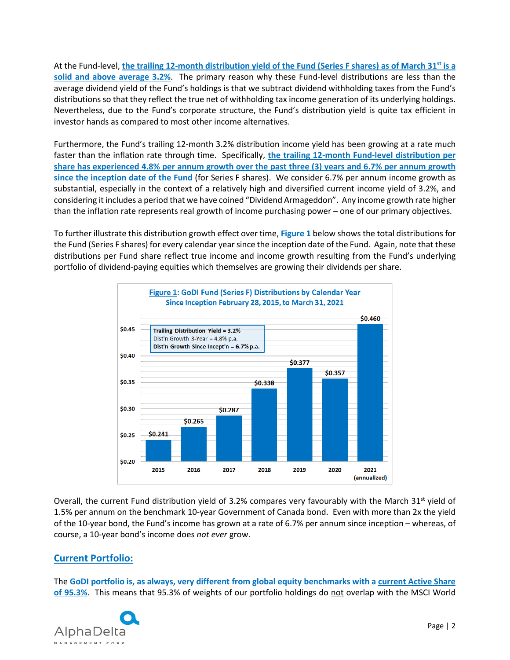At the Fund-level, **the trailing 12-month distribution yield of the Fund (Series F shares) as of March 31st is a solid and above average 3.2%**. The primary reason why these Fund-level distributions are less than the average dividend yield of the Fund's holdings is that we subtract dividend withholding taxes from the Fund's distributions so that they reflect the true net of withholding tax income generation of its underlying holdings. Nevertheless, due to the Fund's corporate structure, the Fund's distribution yield is quite tax efficient in investor hands as compared to most other income alternatives.

Furthermore, the Fund's trailing 12-month 3.2% distribution income yield has been growing at a rate much faster than the inflation rate through time. Specifically, **the trailing 12-month Fund-level distribution per share has experienced 4.8% per annum growth over the past three (3) years and 6.7% per annum growth since the inception date of the Fund** (for Series F shares). We consider 6.7% per annum income growth as substantial, especially in the context of a relatively high and diversified current income yield of 3.2%, and considering it includes a period that we have coined "Dividend Armageddon". Any income growth rate higher than the inflation rate represents real growth of income purchasing power – one of our primary objectives.

To further illustrate this distribution growth effect over time, **Figure 1** below shows the total distributions for the Fund (Series F shares) for every calendar year since the inception date of the Fund. Again, note that these distributions per Fund share reflect true income and income growth resulting from the Fund's underlying portfolio of dividend-paying equities which themselves are growing their dividends per share.



Overall, the current Fund distribution yield of 3.2% compares very favourably with the March  $31^{st}$  yield of 1.5% per annum on the benchmark 10-year Government of Canada bond. Even with more than 2x the yield of the 10-year bond, the Fund's income has grown at a rate of 6.7% per annum since inception – whereas, of course, a 10-year bond's income does *not ever* grow.

### **Current Portfolio:**

The **GoDI portfolio is, as always, very different from global equity benchmarks with a current Active Share of 95.3%**. This means that 95.3% of weights of our portfolio holdings do not overlap with the MSCI World

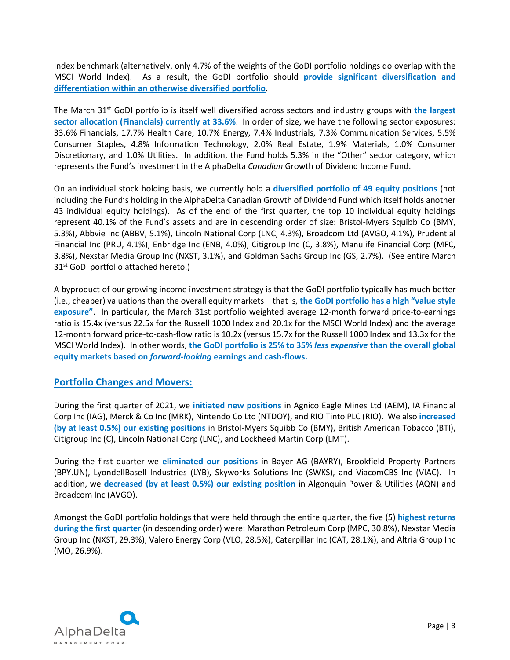Index benchmark (alternatively, only 4.7% of the weights of the GoDI portfolio holdings do overlap with the MSCI World Index). As a result, the GoDI portfolio should **provide significant diversification and differentiation within an otherwise diversified portfolio**.

The March 31st GoDI portfolio is itself well diversified across sectors and industry groups with **the largest sector allocation (Financials) currently at 33.6%**. In order of size, we have the following sector exposures: 33.6% Financials, 17.7% Health Care, 10.7% Energy, 7.4% Industrials, 7.3% Communication Services, 5.5% Consumer Staples, 4.8% Information Technology, 2.0% Real Estate, 1.9% Materials, 1.0% Consumer Discretionary, and 1.0% Utilities. In addition, the Fund holds 5.3% in the "Other" sector category, which represents the Fund's investment in the AlphaDelta *Canadian* Growth of Dividend Income Fund.

On an individual stock holding basis, we currently hold a **diversified portfolio of 49 equity positions** (not including the Fund's holding in the AlphaDelta Canadian Growth of Dividend Fund which itself holds another 43 individual equity holdings). As of the end of the first quarter, the top 10 individual equity holdings represent 40.1% of the Fund's assets and are in descending order of size: Bristol-Myers Squibb Co (BMY, 5.3%), Abbvie Inc (ABBV, 5.1%), Lincoln National Corp (LNC, 4.3%), Broadcom Ltd (AVGO, 4.1%), Prudential Financial Inc (PRU, 4.1%), Enbridge Inc (ENB, 4.0%), Citigroup Inc (C, 3.8%), Manulife Financial Corp (MFC, 3.8%), Nexstar Media Group Inc (NXST, 3.1%), and Goldman Sachs Group Inc (GS, 2.7%). (See entire March 31<sup>st</sup> GoDI portfolio attached hereto.)

A byproduct of our growing income investment strategy is that the GoDI portfolio typically has much better (i.e., cheaper) valuations than the overall equity markets – that is, **the GoDI portfolio has a high "value style exposure"**. In particular, the March 31st portfolio weighted average 12-month forward price-to-earnings ratio is 15.4x (versus 22.5x for the Russell 1000 Index and 20.1x for the MSCI World Index) and the average 12-month forward price-to-cash-flow ratio is 10.2x (versus 15.7x for the Russell 1000 Index and 13.3x for the MSCI World Index). In other words, **the GoDI portfolio is 25% to 35%** *less expensive* **than the overall global equity markets based on** *forward-looking* **earnings and cash-flows.**

#### **Portfolio Changes and Movers:**

During the first quarter of 2021, we **initiated new positions** in Agnico Eagle Mines Ltd (AEM), IA Financial Corp Inc (IAG), Merck & Co Inc (MRK), Nintendo Co Ltd (NTDOY), and RIO Tinto PLC (RIO). We also **increased (by at least 0.5%) our existing positions** in Bristol-Myers Squibb Co (BMY), British American Tobacco (BTI), Citigroup Inc (C), Lincoln National Corp (LNC), and Lockheed Martin Corp (LMT).

During the first quarter we **eliminated our positions** in Bayer AG (BAYRY), Brookfield Property Partners (BPY.UN), LyondellBasell Industries (LYB), Skyworks Solutions Inc (SWKS), and ViacomCBS Inc (VIAC). In addition, we **decreased (by at least 0.5%) our existing position** in Algonquin Power & Utilities (AQN) and Broadcom Inc (AVGO).

Amongst the GoDI portfolio holdings that were held through the entire quarter, the five (5) **highest returns during the first quarter** (in descending order) were: Marathon Petroleum Corp (MPC, 30.8%), Nexstar Media Group Inc (NXST, 29.3%), Valero Energy Corp (VLO, 28.5%), Caterpillar Inc (CAT, 28.1%), and Altria Group Inc (MO, 26.9%).

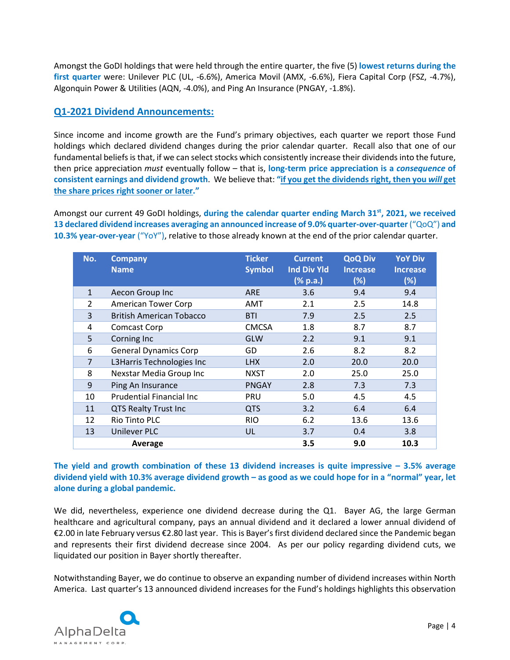Amongst the GoDI holdings that were held through the entire quarter, the five (5) **lowest returns during the first quarter** were: Unilever PLC (UL, -6.6%), America Movil (AMX, -6.6%), Fiera Capital Corp (FSZ, -4.7%), Algonquin Power & Utilities (AQN, -4.0%), and Ping An Insurance (PNGAY, -1.8%).

## **Q1-2021 Dividend Announcements:**

Since income and income growth are the Fund's primary objectives, each quarter we report those Fund holdings which declared dividend changes during the prior calendar quarter. Recall also that one of our fundamental beliefs is that, if we can select stocks which consistently increase their dividends into the future, then price appreciation *must* eventually follow – that is, **long-term price appreciation is a** *consequence* **of consistent earnings and dividend growth**. We believe that: **"if you get the dividends right, then you** *will* **get the share prices right sooner or later."**

Amongst our current 49 GoDI holdings, **during the calendar quarter ending March 31st, 2021, we received 13 declared dividend increases averaging an announced increase of 9.0% quarter-over-quarter**("QoQ") **and 10.3% year-over-year** ("YoY"), relative to those already known at the end of the prior calendar quarter.

| No.            | <b>Company</b><br><b>Name</b>    | <b>Ticker</b><br><b>Symbol</b> | <b>Current</b><br><b>Ind Div Yld</b><br>(% p.a.) | <b>QoQ Div</b><br><b>Increase</b><br>(%) | <b>YoY Div</b><br><b>Increase</b><br>(%) |
|----------------|----------------------------------|--------------------------------|--------------------------------------------------|------------------------------------------|------------------------------------------|
| $\mathbf{1}$   | Aecon Group Inc                  | <b>ARE</b>                     | 3.6                                              | 9.4                                      | 9.4                                      |
| 2              | <b>American Tower Corp</b>       | AMT                            | 2.1                                              | 2.5                                      | 14.8                                     |
| 3              | <b>British American Tobacco</b>  | <b>BTI</b>                     | 7.9                                              | 2.5                                      | 2.5                                      |
| 4              | <b>Comcast Corp</b>              | <b>CMCSA</b>                   | 1.8                                              | 8.7                                      | 8.7                                      |
| 5              | Corning Inc                      | GLW                            | 2.2                                              | 9.1                                      | 9.1                                      |
| 6              | <b>General Dynamics Corp</b>     | GD                             | 2.6                                              | 8.2                                      | 8.2                                      |
| $\overline{7}$ | L3Harris Technologies Inc        | <b>LHX</b>                     | 2.0                                              | 20.0                                     | 20.0                                     |
| 8              | Nexstar Media Group Inc          | <b>NXST</b>                    | 2.0                                              | 25.0                                     | 25.0                                     |
| 9              | Ping An Insurance                | <b>PNGAY</b>                   | 2.8                                              | 7.3                                      | 7.3                                      |
| 10             | <b>Prudential Financial Inc.</b> | PRU                            | 5.0                                              | 4.5                                      | 4.5                                      |
| 11             | <b>QTS Realty Trust Inc</b>      | <b>QTS</b>                     | 3.2                                              | 6.4                                      | 6.4                                      |
| 12             | <b>Rio Tinto PLC</b>             | <b>RIO</b>                     | 6.2                                              | 13.6                                     | 13.6                                     |
| 13             | <b>Unilever PLC</b>              | UL                             | 3.7                                              | 0.4                                      | 3.8                                      |
|                | Average                          |                                | 3.5                                              | 9.0                                      | 10.3                                     |

**The yield and growth combination of these 13 dividend increases is quite impressive – 3.5% average dividend yield with 10.3% average dividend growth – as good as we could hope for in a "normal" year, let alone during a global pandemic.**

We did, nevertheless, experience one dividend decrease during the Q1. Bayer AG, the large German healthcare and agricultural company, pays an annual dividend and it declared a lower annual dividend of €2.00 in late February versus €2.80 last year. This is Bayer's first dividend declared since the Pandemic began and represents their first dividend decrease since 2004. As per our policy regarding dividend cuts, we liquidated our position in Bayer shortly thereafter.

Notwithstanding Bayer, we do continue to observe an expanding number of dividend increases within North America. Last quarter's 13 announced dividend increases for the Fund's holdings highlights this observation

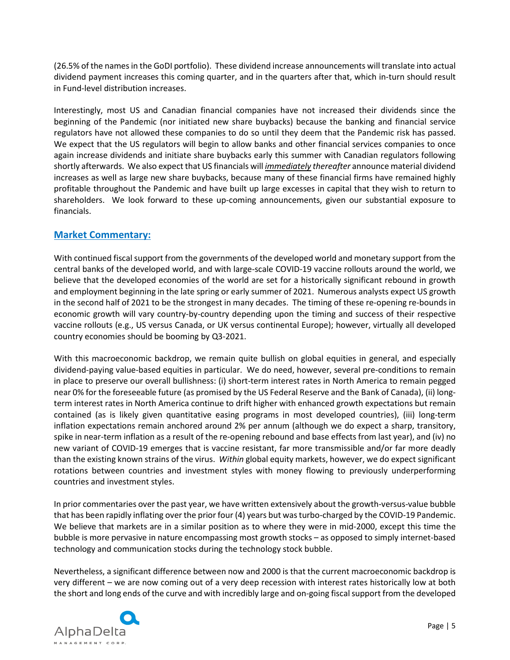(26.5% of the names in the GoDI portfolio). These dividend increase announcements will translate into actual dividend payment increases this coming quarter, and in the quarters after that, which in-turn should result in Fund-level distribution increases.

Interestingly, most US and Canadian financial companies have not increased their dividends since the beginning of the Pandemic (nor initiated new share buybacks) because the banking and financial service regulators have not allowed these companies to do so until they deem that the Pandemic risk has passed. We expect that the US regulators will begin to allow banks and other financial services companies to once again increase dividends and initiate share buybacks early this summer with Canadian regulators following shortly afterwards. We also expect that US financials will *immediately thereafter* announce material dividend increases as well as large new share buybacks, because many of these financial firms have remained highly profitable throughout the Pandemic and have built up large excesses in capital that they wish to return to shareholders. We look forward to these up-coming announcements, given our substantial exposure to financials.

### **Market Commentary:**

With continued fiscal support from the governments of the developed world and monetary support from the central banks of the developed world, and with large-scale COVID-19 vaccine rollouts around the world, we believe that the developed economies of the world are set for a historically significant rebound in growth and employment beginning in the late spring or early summer of 2021. Numerous analysts expect US growth in the second half of 2021 to be the strongest in many decades. The timing of these re-opening re-bounds in economic growth will vary country-by-country depending upon the timing and success of their respective vaccine rollouts (e.g., US versus Canada, or UK versus continental Europe); however, virtually all developed country economies should be booming by Q3-2021.

With this macroeconomic backdrop, we remain quite bullish on global equities in general, and especially dividend-paying value-based equities in particular. We do need, however, several pre-conditions to remain in place to preserve our overall bullishness: (i) short-term interest rates in North America to remain pegged near 0% for the foreseeable future (as promised by the US Federal Reserve and the Bank of Canada), (ii) longterm interest rates in North America continue to drift higher with enhanced growth expectations but remain contained (as is likely given quantitative easing programs in most developed countries), (iii) long-term inflation expectations remain anchored around 2% per annum (although we do expect a sharp, transitory, spike in near-term inflation as a result of the re-opening rebound and base effects from last year), and (iv) no new variant of COVID-19 emerges that is vaccine resistant, far more transmissible and/or far more deadly than the existing known strains of the virus. *Within* global equity markets, however, we do expect significant rotations between countries and investment styles with money flowing to previously underperforming countries and investment styles.

In prior commentaries over the past year, we have written extensively about the growth-versus-value bubble that has been rapidly inflating over the prior four (4) years but was turbo-charged by the COVID-19 Pandemic. We believe that markets are in a similar position as to where they were in mid-2000, except this time the bubble is more pervasive in nature encompassing most growth stocks – as opposed to simply internet-based technology and communication stocks during the technology stock bubble.

Nevertheless, a significant difference between now and 2000 is that the current macroeconomic backdrop is very different – we are now coming out of a very deep recession with interest rates historically low at both the short and long ends of the curve and with incredibly large and on-going fiscal support from the developed

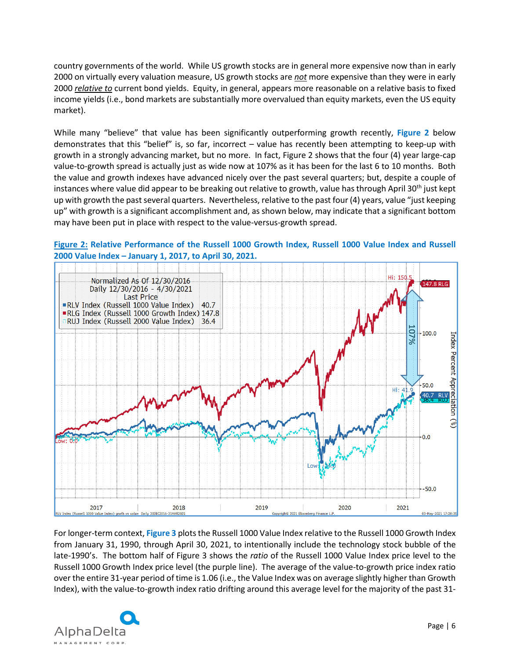country governments of the world. While US growth stocks are in general more expensive now than in early 2000 on virtually every valuation measure, US growth stocks are *not* more expensive than they were in early 2000 *relative to* current bond yields. Equity, in general, appears more reasonable on a relative basis to fixed income yields (i.e., bond markets are substantially more overvalued than equity markets, even the US equity market).

While many "believe" that value has been significantly outperforming growth recently, **Figure 2** below demonstrates that this "belief" is, so far, incorrect – value has recently been attempting to keep-up with growth in a strongly advancing market, but no more. In fact, Figure 2 shows that the four (4) year large-cap value-to-growth spread is actually just as wide now at 107% as it has been for the last 6 to 10 months. Both the value and growth indexes have advanced nicely over the past several quarters; but, despite a couple of instances where value did appear to be breaking out relative to growth, value has through April 30<sup>th</sup> just kept up with growth the past several quarters. Nevertheless, relative to the past four (4) years, value "just keeping up" with growth is a significant accomplishment and, as shown below, may indicate that a significant bottom may have been put in place with respect to the value-versus-growth spread.



#### **Figure 2: Relative Performance of the Russell 1000 Growth Index, Russell 1000 Value Index and Russell 2000 Value Index – January 1, 2017, to April 30, 2021.**

For longer-term context, **Figure 3** plots the Russell 1000 Value Index relative to the Russell 1000 Growth Index from January 31, 1990, through April 30, 2021, to intentionally include the technology stock bubble of the late-1990's. The bottom half of Figure 3 shows the *ratio* of the Russell 1000 Value Index price level to the Russell 1000 Growth Index price level (the purple line). The average of the value-to-growth price index ratio over the entire 31-year period of time is 1.06 (i.e., the Value Index was on average slightly higher than Growth

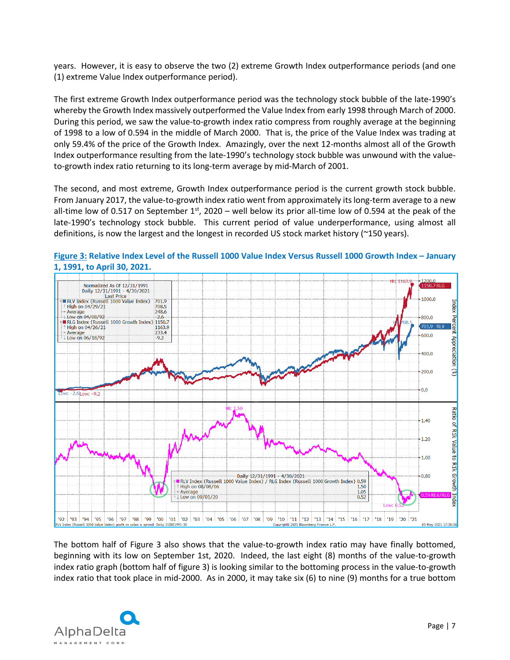years. However, it is easy to observe the two (2) extreme Growth Index outperformance periods (and one (1) extreme Value Index outperformance period).

The first extreme Growth Index outperformance period was the technology stock bubble of the late-1990's whereby the Growth Index massively outperformed the Value Index from early 1998 through March of 2000. During this period, we saw the value-to-growth index ratio compress from roughly average at the beginning of 1998 to a low of 0.594 in the middle of March 2000. That is, the price of the Value Index was trading at only 59.4% of the price of the Growth Index. Amazingly, over the next 12-months almost all of the Growth Index outperformance resulting from the late-1990's technology stock bubble was unwound with the valueto-growth index ratio returning to its long-term average by mid-March of 2001.

The second, and most extreme, Growth Index outperformance period is the current growth stock bubble. From January 2017, the value-to-growth index ratio went from approximately its long-term average to a new all-time low of 0.517 on September  $1<sup>st</sup>$ , 2020 – well below its prior all-time low of 0.594 at the peak of the late-1990's technology stock bubble. This current period of value underperformance, using almost all definitions, is now the largest and the longest in recorded US stock market history (~150 years).



**Figure 3: Relative Index Level of the Russell 1000 Value Index Versus Russell 1000 Growth Index – January 1, 1991, to April 30, 2021.**

The bottom half of Figure 3 also shows that the value-to-growth index ratio may have finally bottomed, beginning with its low on September 1st, 2020. Indeed, the last eight (8) months of the value-to-growth index ratio graph (bottom half of figure 3) is looking similar to the bottoming process in the value-to-growth index ratio that took place in mid-2000. As in 2000, it may take six (6) to nine (9) months for a true bottom

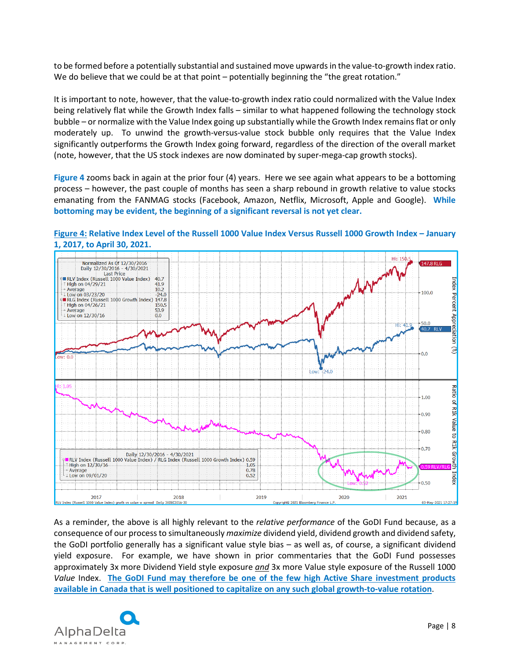to be formed before a potentially substantial and sustained move upwards in the value-to-growth index ratio. We do believe that we could be at that point – potentially beginning the "the great rotation."

It is important to note, however, that the value-to-growth index ratio could normalized with the Value Index being relatively flat while the Growth Index falls – similar to what happened following the technology stock bubble – or normalize with the Value Index going up substantially while the Growth Index remains flat or only moderately up. To unwind the growth-versus-value stock bubble only requires that the Value Index significantly outperforms the Growth Index going forward, regardless of the direction of the overall market (note, however, that the US stock indexes are now dominated by super-mega-cap growth stocks).

**Figure 4** zooms back in again at the prior four (4) years. Here we see again what appears to be a bottoming process – however, the past couple of months has seen a sharp rebound in growth relative to value stocks emanating from the FANMAG stocks (Facebook, Amazon, Netflix, Microsoft, Apple and Google). **While bottoming may be evident, the beginning of a significant reversal is not yet clear.**



**Figure 4: Relative Index Level of the Russell 1000 Value Index Versus Russell 1000 Growth Index – January 1, 2017, to April 30, 2021.**

As a reminder, the above is all highly relevant to the *relative performance* of the GoDI Fund because, as a consequence of our process to simultaneously *maximize* dividend yield, dividend growth and dividend safety, the GoDI portfolio generally has a significant value style bias – as well as, of course, a significant dividend yield exposure. For example, we have shown in prior commentaries that the GoDI Fund possesses approximately 3x more Dividend Yield style exposure *and* 3x more Value style exposure of the Russell 1000 *Value* Index. **The GoDI Fund may therefore be one of the few high Active Share investment products available in Canada that is well positioned to capitalize on any such global growth-to-value rotation**.